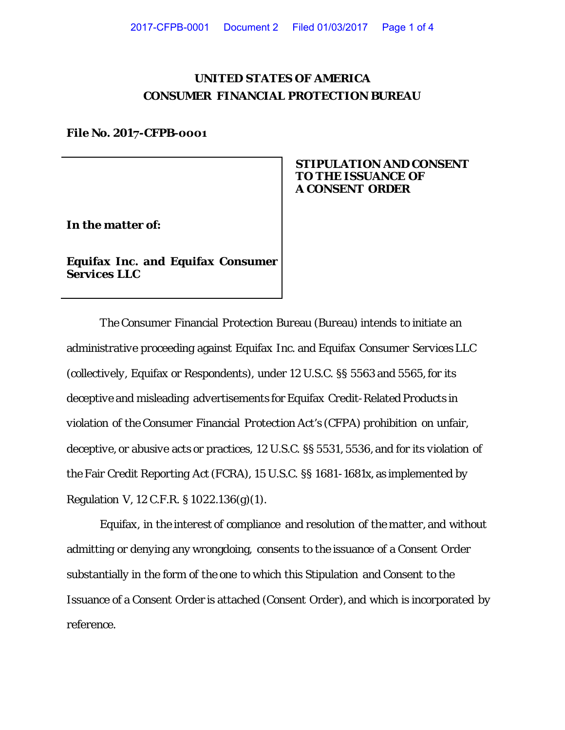# **UNITED STATES OF AMERICA CONSUMER FINANCIAL PROTECTION BUREAU**

#### **File No. 2017-CFPB-0001**

# **STIPULATION AND CONSENT TO THE ISSUANCE OF A CONSENT ORDER**

**In the matter of:**

**Equifax Inc. and Equifax Consumer Services LLC**

The Consumer Financial Protection Bureau (Bureau) intends to initiate an administrative proceeding against Equifax Inc. and Equifax Consumer Services LLC (collectively, Equifax or Respondents), under 12 U.S.C. §§ 5563 and 5565, for its deceptive and misleading advertisements for Equifax Credit-Related Products in violation of the Consumer Financial Protection Act's (CFPA) prohibition on unfair, deceptive, or abusive acts or practices, 12 U.S.C. §§ 5531, 5536, and for its violation of the Fair Credit Reporting Act (FCRA), 15 U.S.C. §§ 1681-1681x, as implemented by Regulation V, 12 C.F.R. § 1022.136(g)(1).

Equifax, in the interest of compliance and resolution of the matter, and without admitting or denying any wrongdoing, consents to the issuance of a Consent Order substantially in the form of the one to which this Stipulation and Consent to the Issuance of a Consent Order is attached (Consent Order), and which is incorporated by reference.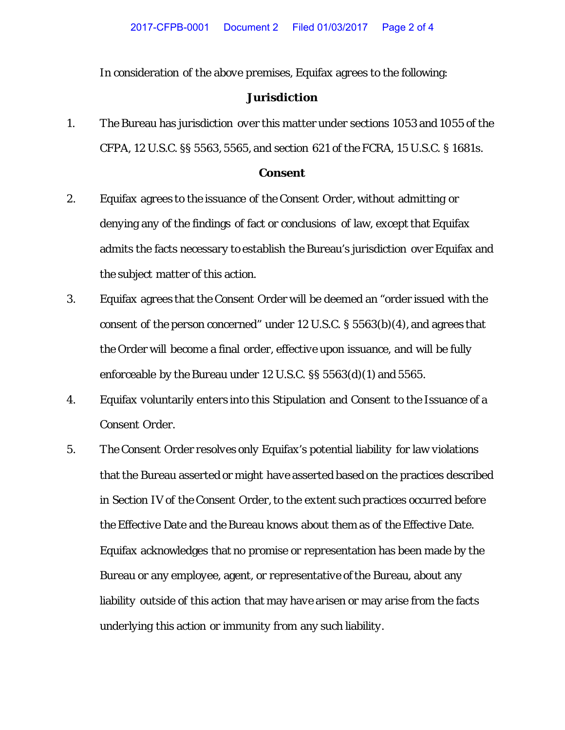In consideration of the above premises, Equifax agrees to the following:

## **Jurisdiction**

1. The Bureau has jurisdiction over this matter under sections 1053 and 1055 of the CFPA, 12 U.S.C. §§ 5563, 5565, and section 621 of the FCRA, 15 U.S.C. § 1681s.

#### **Consent**

- 2. Equifax agrees to the issuance of the Consent Order, without admitting or denying any of the findings of fact or conclusions of law, except that Equifax admits the facts necessary to establish the Bureau's jurisdiction over Equifax and the subject matter of this action.
- 3. Equifax agrees that the Consent Order will be deemed an "order issued with the consent of the person concerned" under 12 U.S.C. § 5563(b)(4), and agrees that the Order will become a final order, effective upon issuance, and will be fully enforceable by the Bureau under 12 U.S.C. §§ 5563(d)(1) and 5565.
- 4. Equifax voluntarily enters into this Stipulation and Consent to the Issuance of a Consent Order.
- 5. The Consent Order resolves only Equifax's potential liability for law violations that the Bureau asserted or might have asserted based on the practices described in Section IV of the Consent Order, to the extent such practices occurred before the Effective Date and the Bureau knows about them as of the Effective Date. Equifax acknowledges that no promise or representation has been made by the Bureau or any employee, agent, or representative of the Bureau, about any liability outside of this action that may have arisen or may arise from the facts underlying this action or immunity from any such liability.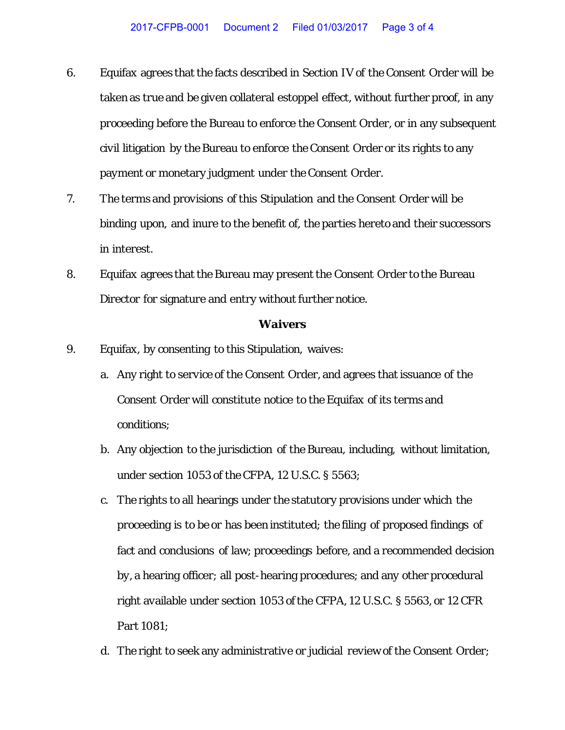- 6. Equifax agrees that the facts described in Section IV of the Consent Order will be taken as true and be given collateral estoppel effect, without further proof, in any proceeding before the Bureau to enforce the Consent Order, or in any subsequent civil litigation by the Bureau to enforce the Consent Order or its rights to any payment or monetary judgment under the Consent Order.
- 7. The terms and provisions of this Stipulation and the Consent Order will be binding upon, and inure to the benefit of, the parties hereto and their successors in interest.
- 8. Equifax agrees that the Bureau may present the Consent Order to the Bureau Director for signature and entry without further notice.

### **Waivers**

- 9. Equifax, by consenting to this Stipulation, waives:
	- a. Any right to service of the Consent Order, and agrees that issuance of the Consent Order will constitute notice to the Equifax of its terms and conditions;
	- b. Any objection to the jurisdiction of the Bureau, including, without limitation, under section 1053 of the CFPA, 12 U.S.C. § 5563;
	- c. The rights to all hearings under the statutory provisions under which the proceeding is to be or has been instituted; the filing of proposed findings of fact and conclusions of law; proceedings before, and a recommended decision by, a hearing officer; all post-hearing procedures; and any other procedural right available under section 1053 of the CFPA, 12 U.S.C. § 5563, or 12 CFR Part 1081;
	- d. The right to seek any administrative or judicial review of the Consent Order;